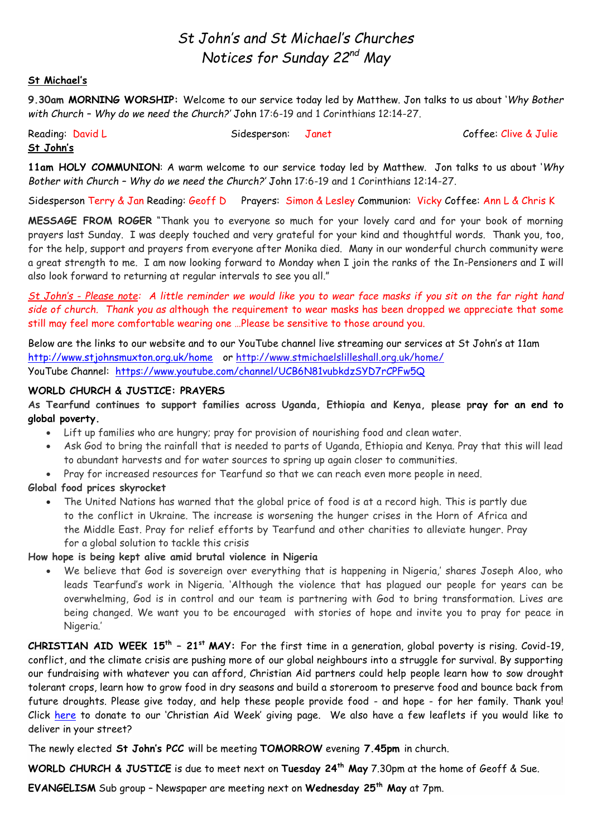# *St John's and St Michael's Churches Notices for Sunday 22nd May*

### **St Michael's**

**9.30am MORNING WORSHIP:** Welcome to our service today led by Matthew. Jon talks to us about '*Why Bother with Church – Why do we need the Church?'* John 17:6-19 and 1 Corinthians 12:14-27.

| Reading David L | Sidesperson: Janet | Coffee: Clive & Julie |
|-----------------|--------------------|-----------------------|
| St John's       |                    |                       |

**11am HOLY COMMUNION**: A warm welcome to our service today led by Matthew. Jon talks to us about '*Why Bother with Church – Why do we need the Church?'* John 17:6-19 and 1 Corinthians 12:14-27.

Sidesperson Terry & Jan Reading: Geoff D Prayers: Simon & Lesley Communion: Vicky Coffee: Ann L & Chris K

**MESSAGE FROM ROGER** "Thank you to everyone so much for your lovely card and for your book of morning prayers last Sunday. I was deeply touched and very grateful for your kind and thoughtful words. Thank you, too, for the help, support and prayers from everyone after Monika died. Many in our wonderful church community were a great strength to me. I am now looking forward to Monday when I join the ranks of the In-Pensioners and I will also look forward to returning at regular intervals to see you all."

*St John's - Please note: A little reminder we would like you to wear face masks if you sit on the far right hand side of church. Thank you as a*lthough the requirement to wear masks has been dropped we appreciate that some still may feel more comfortable wearing one …Please be sensitive to those around you.

Below are the links to our website and to our YouTube channel live streaming our services at St John's at 11am <http://www.stjohnsmuxton.org.uk/home> or<http://www.stmichaelslilleshall.org.uk/home/> YouTube Channel: <https://www.youtube.com/channel/UCB6N81vubkdzSYD7rCPFw5Q>

#### **WORLD CHURCH & JUSTICE: PRAYERS**

**As Tearfund continues to support families across Uganda, Ethiopia and Kenya, please pray for an end to global poverty.**

- Lift up families who are hungry; pray for provision of nourishing food and clean water.
- Ask God to bring the rainfall that is needed to parts of Uganda, Ethiopia and Kenya. Pray that this will lead to abundant harvests and for water sources to spring up again closer to communities.
- Pray for increased resources for Tearfund so that we can reach even more people in need.

#### **Global food prices skyrocket**

 The United Nations has warned that the global price of food is at a record high. This is partly due to the conflict in Ukraine. The increase is worsening the hunger crises in the Horn of Africa and the Middle East. Pray for relief efforts by Tearfund and other charities to alleviate hunger. Pray for a global solution to tackle this crisis

**How hope is being kept alive amid brutal violence in Nigeria**

We believe that God is sovereign over everything that is happening in Nigeria,' shares Joseph Aloo, who leads Tearfund's work in Nigeria. 'Although the violence that has plagued our people for years can be overwhelming, God is in control and our team is partnering with God to bring transformation. Lives are being changed. We want you to be encouraged with stories of hope and invite you to pray for peace in Nigeria.'

**CHRISTIAN AID WEEK 15th – 21st MAY:** For the first time in a generation, global poverty is rising. Covid-19, conflict, and the climate crisis are pushing more of our global neighbours into a struggle for survival. By supporting our fundraising with whatever you can afford, Christian Aid partners could help people learn how to sow drought tolerant crops, learn how to grow food in dry seasons and build a storeroom to preserve food and bounce back from future droughts. Please give today, and help these people provide food - and hope - for her family. Thank you! Click [here](https://giving.give-star.com/microsite/christian-aid/christian-aid-week/team/e8313ad8-66c4-4728-81f8-97a1fb833497) to donate to our 'Christian Aid Week' giving page. We also have a few leaflets if you would like to deliver in your street?

The newly elected **St John's PCC** will be meeting **TOMORROW** evening **7.45pm** in church.

**WORLD CHURCH & JUSTICE** is due to meet next on **Tuesday 24th May** 7.30pm at the home of Geoff & Sue.

**EVANGELISM** Sub group – Newspaper are meeting next on **Wednesday 25th May** at 7pm.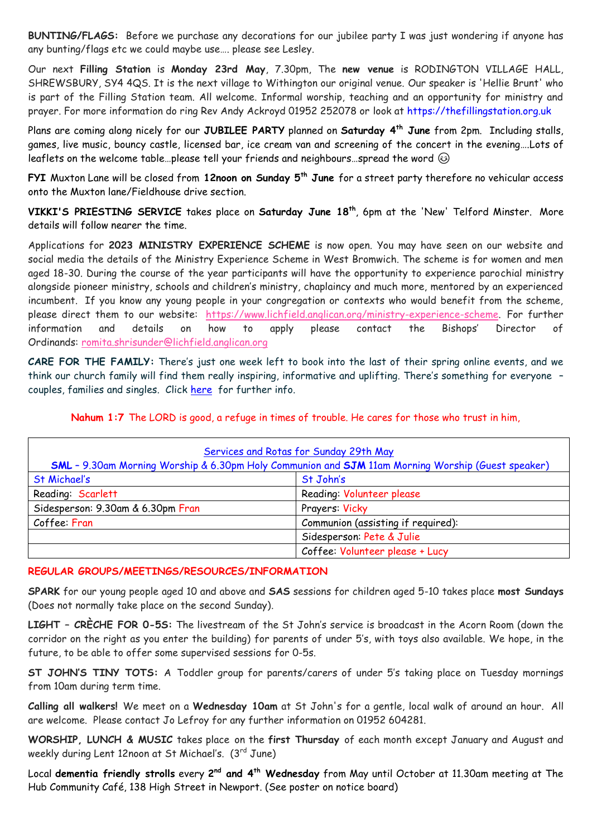**BUNTING/FLAGS:** Before we purchase any decorations for our jubilee party I was just wondering if anyone has any bunting/flags etc we could maybe use…. please see Lesley.

Our next **Filling Station** is **Monday 23rd May**, 7.30pm, The **new venue** is RODINGTON VILLAGE HALL, SHREWSBURY, SY4 4QS. It is the next village to Withington our original venue. Our speaker is 'Hellie Brunt' who is part of the Filling Station team. All welcome. Informal worship, teaching and an opportunity for ministry and prayer. For more information do ring Rev Andy Ackroyd 01952 252078 or look at [https://thefillingstation.org.uk](https://thefillingstation.org.uk/?fbclid=IwAR31CVlajXveayfvNeom3GKspjxCuE0Gd4xFGHgrtyGZfTlVbJUm3swWxF4)

Plans are coming along nicely for our **JUBILEE PARTY** planned on **Saturday 4th June** from 2pm. Including stalls, games, live music, bouncy castle, licensed bar, ice cream van and screening of the concert in the evening….Lots of leaflets on the welcome table...please tell your friends and neighbours...spread the word  $\circledcirc$ 

**FYI** Muxton Lane will be closed from **12noon on Sunday 5th June** for a street party therefore no vehicular access onto the Muxton lane/Fieldhouse drive section.

**VIKKI'S PRIESTING SERVICE** takes place on **Saturday June 18th**, 6pm at the 'New' Telford Minster. More details will follow nearer the time.

Applications for **2023 MINISTRY EXPERIENCE SCHEME** is now open. You may have seen on our website and social media the details of the Ministry Experience Scheme in West Bromwich. The scheme is for women and men aged 18-30. During the course of the year participants will have the opportunity to experience parochial ministry alongside pioneer ministry, schools and children's ministry, chaplaincy and much more, mentored by an experienced incumbent. If you know any young people in your congregation or contexts who would benefit from the scheme, please direct them to our website: [https://www.lichfield.anglican.org/ministry-experience-scheme.](https://emea01.safelinks.protection.outlook.com/?url=https%3A%2F%2Fwww.lichfield.anglican.org%2Fministry-experience-scheme&data=04%7C01%7C%7Cc87989d5039a4b47cd0b08d8de52f374%7C84df9e7fe9f640afb435aaaaaaaaaaaa%7C1%7C0%7C637503795145738500%7CUnknown%7CTWFpbGZsb3d8eyJWIjoiMC4wLjAwMDAiLCJQIjoiV2luMzIiLCJBTiI6Ik1haWwiLCJXVCI6Mn0%3D%7C1000&sdata=HQezO%2Bt2d6N%2FS%2BYbkrIxrTxGsWFatW69uSpfFnUNT4U%3D&reserved=0) For further information and details on how to apply please contact the Bishops' Director of Ordinands: [romita.shrisunder@lichfield.anglican.org](mailto:romita.shrisunder@lichfield.anglican.org)

**CARE FOR THE FAMILY:** There's just one week left to book into the last of their spring online events, and we think our church family will find them really inspiring, informative and uplifting. There's something for everyone – couples, families and singles. Click [here](https://www.careforthefamily.org.uk/events/events-online/?utm_source=church+online+events+email+1WTG&utm_medium=CM&utm_campaign=CM) for further info.

**Nahum 1:7** The LORD is good, a refuge in times of trouble. He cares for those who trust in him,

|                                                                                                   | Services and Rotas for Sunday 29th May |  |
|---------------------------------------------------------------------------------------------------|----------------------------------------|--|
| SML - 9.30am Morning Worship & 6.30pm Holy Communion and SJM 11am Morning Worship (Guest speaker) |                                        |  |
| St Michael's                                                                                      | St John's                              |  |
| Reading: Scarlett                                                                                 | Reading: Volunteer please              |  |
| Sidesperson: 9.30am & 6.30pm Fran                                                                 | Prayers: Vicky                         |  |
| Coffee: Fran                                                                                      | Communion (assisting if required):     |  |
|                                                                                                   | Sidesperson: Pete & Julie              |  |
|                                                                                                   | Coffee: Volunteer please + Lucy        |  |

#### **REGULAR GROUPS/MEETINGS/RESOURCES/INFORMATION**

**SPARK** for our young people aged 10 and above and **SAS** sessions for children aged 5-10 takes place **most Sundays** (Does not normally take place on the second Sunday).

**LIGHT – CRÈCHE FOR 0-5S:** The livestream of the St John's service is broadcast in the Acorn Room (down the corridor on the right as you enter the building) for parents of under 5's, with toys also available. We hope, in the future, to be able to offer some supervised sessions for 0-5s.

**ST JOHN'S TINY TOTS:** A Toddler group for parents/carers of under 5's taking place on Tuesday mornings from 10am during term time.

**Calling all walkers!** We meet on a **Wednesday 10am** at St John's for a gentle, local walk of around an hour. All are welcome. Please contact Jo Lefroy for any further information on 01952 604281.

**WORSHIP, LUNCH & MUSIC** takes place on the **first Thursday** of each month except January and August and weekly during Lent 12noon at St Michael's. (3rd June)

Local **dementia friendly strolls** every 2<sup>nd</sup> and 4<sup>th</sup> **Wednesday** from May until October at 11.30am meeting at The Hub Community Café, 138 High Street in Newport. (See poster on notice board)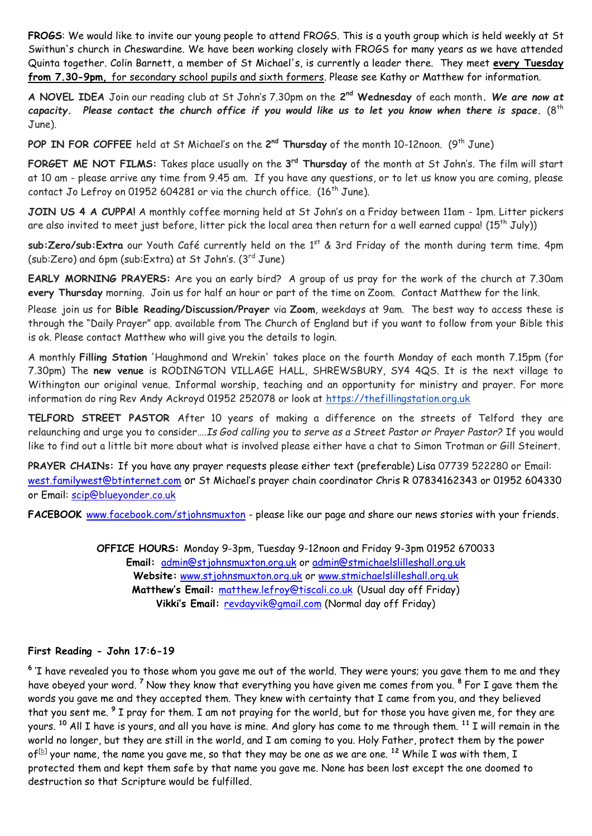**FROGS**: We would like to invite our young people to attend FROGS. This is a youth group which is held weekly at St Swithun's church in Cheswardine. We have been working closely with FROGS for many years as we have attended Quinta together. Colin Barnett, a member of St Michael's, is currently a leader there. They meet **every Tuesday from 7.30-9pm,** for secondary school pupils and sixth formers. Please see Kathy or Matthew for information.

**A NOVEL IDEA** Join our reading club at St John's 7.30pm on the **2 nd Wednesday** of each month**.** *We are now at capacity.* Please contact the church office if you would like us to let you know when there is space.  $(8^{th}$ June).

**POP IN FOR COFFEE** held at St Michael's on the **2 nd Thursday** of the month 10-12noon. (9th June)

**FORGET ME NOT FILMS:** Takes place usually on the **3 rd Thursday** of the month at St John's. The film will start at 10 am - please arrive any time from 9.45 am. If you have any questions, or to let us know you are coming, please contact Jo Lefroy on 01952 604281 or via the church office.  $(16^{th}$  June).

**JOIN US 4 A CUPPA!** A monthly coffee morning held at St John's on a Friday between 11am - 1pm. Litter pickers are also invited to meet just before, litter pick the local area then return for a well earned cuppa! ( $15^{th}$  July))

sub:Zero/sub:Extra our Youth Café currently held on the 1<sup>st</sup> & 3rd Friday of the month during term time. 4pm (sub:Zero) and 6pm (sub:Extra) at St John's. (3 $^{\rm rd}$  June)

**EARLY MORNING PRAYERS:** Are you an early bird? A group of us pray for the work of the church at 7.30am **every Thursday** morning. Join us for half an hour or part of the time on Zoom. Contact Matthew for the link.

Please join us for **Bible Reading/Discussion/Prayer** via **Zoom**, weekdays at 9am. The best way to access these is through the "Daily Prayer" app. available from The Church of England but if you want to follow from your Bible this is ok. Please contact Matthew who will give you the details to login.

A monthly **Filling Station** 'Haughmond and Wrekin' takes place on the fourth Monday of each month 7.15pm (for 7.30pm) The **new venue** is RODINGTON VILLAGE HALL, SHREWSBURY, SY4 4QS. It is the next village to Withington our original venue. Informal worship, teaching and an opportunity for ministry and prayer. For more information do ring Rev Andy Ackroyd 01952 252078 or look at [https://thefillingstation.org.uk](https://thefillingstation.org.uk/)

**TELFORD STREET PASTOR** After 10 years of making a difference on the streets of Telford they are relaunching and urge you to consider….*Is God calling you to serve as a Street Pastor or Prayer Pastor?* If you would like to find out a little bit more about what is involved please either have a chat to Simon Trotman or Gill Steinert.

**PRAYER CHAINs:** If you have any prayer requests please either text (preferable) Lisa 07739 522280 or Email: [west.familywest@btinternet.com](mailto:west.familywest@btinternet.com) or St Michael's prayer chain coordinator Chris R 07834162343 or 01952 604330 or Email: [scip@blueyonder.co.uk](mailto:scip@blueyonder.co.uk)

**FACEBOOK** [www.facebook.com/stjohnsmuxton](http://www.facebook.com/stjohnsmuxton) - please like our page and share our news stories with your friends.

**OFFICE HOURS:** Monday 9-3pm, Tuesday 9-12noon and Friday 9-3pm 01952 670033 **Email:** admin[@stjohnsmuxton.o](http://stjohnsmuxton/)rg.uk or [admin@stmichaelslilleshall.org.uk](mailto:admin@stmichaelslilleshall.org.uk) **Website:** [www.stjohnsmuxton.org.uk](http://www.stjohnsmuxton.org.uk/) or www.stmichaelslilleshall.org.uk **Matthew's Email:** [matthew.lefroy@tiscali.co.uk](mailto:matthew.lefroy@tiscali.co.uk) (Usual day off Friday) **Vikki's Email:** [revdayvik@gmail.com](mailto:revdayvik@gmail.com) (Normal day off Friday)

## **First Reading - John 17:6-19**

**6** 'I have revealed you to those whom you gave me out of the world. They were yours; you gave them to me and they have obeyed your word. **<sup>7</sup>** Now they know that everything you have given me comes from you. **<sup>8</sup>** For I gave them the words you gave me and they accepted them. They knew with certainty that I came from you, and they believed that you sent me. **<sup>9</sup>** I pray for them. I am not praying for the world, but for those you have given me, for they are yours. **<sup>10</sup>** All I have is yours, and all you have is mine. And glory has come to me through them. **<sup>11</sup>** I will remain in the world no longer, but they are still in the world, and I am coming to you. Holy Father, protect them by the power of<sup>[\[b\]](https://www.biblegateway.com/passage/?search=John+17%3A6-19&version=NIVUK#fen-NIVUK-26771b)</sup> your name, the name you gave me, so that they may be one as we are one. <sup>12</sup> While I was with them, I protected them and kept them safe by that name you gave me. None has been lost except the one doomed to destruction so that Scripture would be fulfilled.